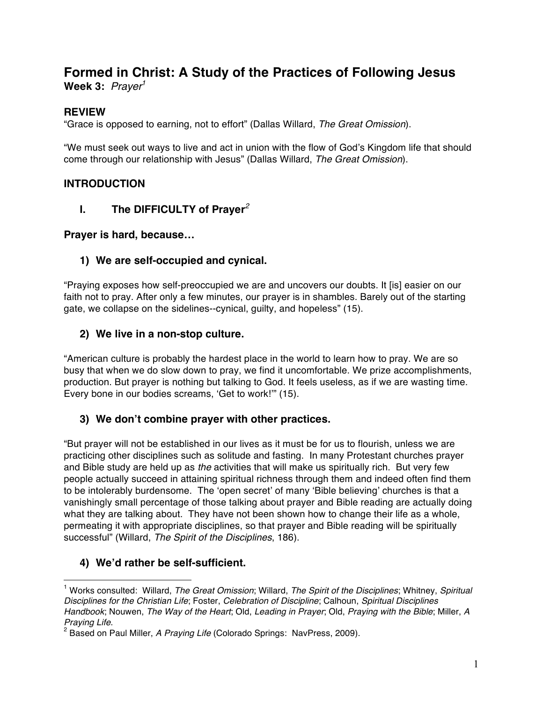# **Formed in Christ: A Study of the Practices of Following Jesus**

**Week 3:** *Prayer1*

# **REVIEW**

"Grace is opposed to earning, not to effort" (Dallas Willard, *The Great Omission*).

"We must seek out ways to live and act in union with the flow of God's Kingdom life that should come through our relationship with Jesus" (Dallas Willard, *The Great Omission*).

# **INTRODUCTION**

**I. The DIFFICULTY of Prayer***<sup>2</sup>*

# **Prayer is hard, because…**

# **1) We are self-occupied and cynical.**

"Praying exposes how self-preoccupied we are and uncovers our doubts. It [is] easier on our faith not to pray. After only a few minutes, our prayer is in shambles. Barely out of the starting gate, we collapse on the sidelines--cynical, guilty, and hopeless" (15).

# **2) We live in a non-stop culture.**

"American culture is probably the hardest place in the world to learn how to pray. We are so busy that when we do slow down to pray, we find it uncomfortable. We prize accomplishments, production. But prayer is nothing but talking to God. It feels useless, as if we are wasting time. Every bone in our bodies screams, 'Get to work!'" (15).

# **3) We don't combine prayer with other practices.**

"But prayer will not be established in our lives as it must be for us to flourish, unless we are practicing other disciplines such as solitude and fasting. In many Protestant churches prayer and Bible study are held up as *the* activities that will make us spiritually rich. But very few people actually succeed in attaining spiritual richness through them and indeed often find them to be intolerably burdensome. The 'open secret' of many 'Bible believing' churches is that a vanishingly small percentage of those talking about prayer and Bible reading are actually doing what they are talking about. They have not been shown how to change their life as a whole, permeating it with appropriate disciplines, so that prayer and Bible reading will be spiritually successful" (Willard, *The Spirit of the Disciplines*, 186).

# **4) We'd rather be self-sufficient.**

 $\overline{a}$ 

<sup>1</sup> Works consulted: Willard, *The Great Omission*; Willard, *The Spirit of the Disciplines*; Whitney, *Spiritual Disciplines for the Christian Life*; Foster, *Celebration of Discipline*; Calhoun, *Spiritual Disciplines Handbook*; Nouwen, *The Way of the Heart*; Old, *Leading in Prayer*; Old, *Praying with the Bible*; Miller, *A Praying Life.*<br><sup>2</sup> Based on Paul Miller, *A Praying Life* (Colorado Springs: NavPress, 2009).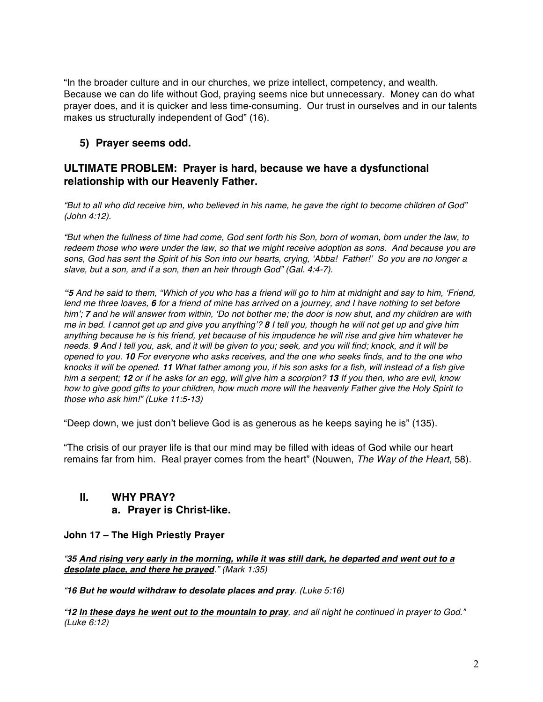"In the broader culture and in our churches, we prize intellect, competency, and wealth. Because we can do life without God, praying seems nice but unnecessary. Money can do what prayer does, and it is quicker and less time-consuming. Our trust in ourselves and in our talents makes us structurally independent of God" (16).

# **5) Prayer seems odd.**

#### **ULTIMATE PROBLEM: Prayer is hard, because we have a dysfunctional relationship with our Heavenly Father.**

*"But to all who did receive him, who believed in his name, he gave the right to become children of God" (John 4:12).*

*"But when the fullness of time had come, God sent forth his Son, born of woman, born under the law, to redeem those who were under the law, so that we might receive adoption as sons. And because you are sons, God has sent the Spirit of his Son into our hearts, crying, 'Abba! Father!' So you are no longer a slave, but a son, and if a son, then an heir through God" (Gal. 4:4-7).*

*"5 And he said to them, "Which of you who has a friend will go to him at midnight and say to him, 'Friend, lend me three loaves, 6 for a friend of mine has arrived on a journey, and I have nothing to set before him'; 7 and he will answer from within, 'Do not bother me; the door is now shut, and my children are with me in bed. I cannot get up and give you anything'? 8 I tell you, though he will not get up and give him anything because he is his friend, yet because of his impudence he will rise and give him whatever he needs. 9 And I tell you, ask, and it will be given to you; seek, and you will find; knock, and it will be opened to you. 10 For everyone who asks receives, and the one who seeks finds, and to the one who knocks it will be opened. 11 What father among you, if his son asks for a fish, will instead of a fish give him a serpent; 12 or if he asks for an egg, will give him a scorpion? 13 If you then, who are evil, know how to give good gifts to your children, how much more will the heavenly Father give the Holy Spirit to those who ask him!" (Luke 11:5-13)*

"Deep down, we just don't believe God is as generous as he keeps saying he is" (135).

"The crisis of our prayer life is that our mind may be filled with ideas of God while our heart remains far from him. Real prayer comes from the heart" (Nouwen, *The Way of the Heart*, 58).

# **II. WHY PRAY?**

#### **a. Prayer is Christ-like.**

#### **John 17 – The High Priestly Prayer**

*"35 And rising very early in the morning, while it was still dark, he departed and went out to a desolate place, and there he prayed." (Mark 1:35)*

*"16 But he would withdraw to desolate places and pray. (Luke 5:16)*

*"12 In these days he went out to the mountain to pray, and all night he continued in prayer to God." (Luke 6:12)*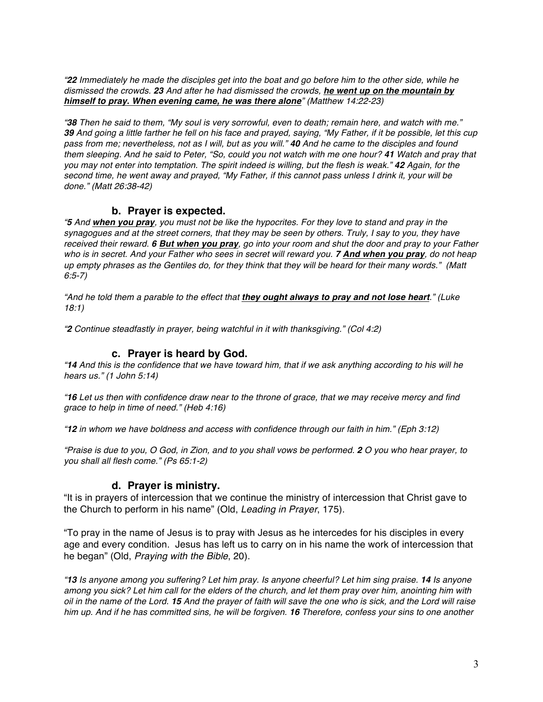*"22 Immediately he made the disciples get into the boat and go before him to the other side, while he dismissed the crowds. 23 And after he had dismissed the crowds, he went up on the mountain by himself to pray. When evening came, he was there alone" (Matthew 14:22-23)*

*"38 Then he said to them, "My soul is very sorrowful, even to death; remain here, and watch with me." 39 And going a little farther he fell on his face and prayed, saying, "My Father, if it be possible, let this cup pass from me; nevertheless, not as I will, but as you will." 40 And he came to the disciples and found them sleeping. And he said to Peter, "So, could you not watch with me one hour? 41 Watch and pray that you may not enter into temptation. The spirit indeed is willing, but the flesh is weak." 42 Again, for the second time, he went away and prayed, "My Father, if this cannot pass unless I drink it, your will be done." (Matt 26:38-42)*

#### **b. Prayer is expected.**

*"5 And when you pray, you must not be like the hypocrites. For they love to stand and pray in the synagogues and at the street corners, that they may be seen by others. Truly, I say to you, they have received their reward. 6 But when you pray, go into your room and shut the door and pray to your Father who is in secret. And your Father who sees in secret will reward you. 7 And when you pray, do not heap up empty phrases as the Gentiles do, for they think that they will be heard for their many words." (Matt 6:5-7)*

*"And he told them a parable to the effect that they ought always to pray and not lose heart." (Luke 18:1)*

*"2 Continue steadfastly in prayer, being watchful in it with thanksgiving." (Col 4:2)*

#### **c. Prayer is heard by God.**

*"14 And this is the confidence that we have toward him, that if we ask anything according to his will he hears us." (1 John 5:14)*

*"16 Let us then with confidence draw near to the throne of grace, that we may receive mercy and find grace to help in time of need." (Heb 4:16)*

*"12 in whom we have boldness and access with confidence through our faith in him." (Eph 3:12)*

*"Praise is due to you, O God, in Zion, and to you shall vows be performed. 2 O you who hear prayer, to you shall all flesh come." (Ps 65:1-2)*

#### **d. Prayer is ministry.**

"It is in prayers of intercession that we continue the ministry of intercession that Christ gave to the Church to perform in his name" (Old, *Leading in Prayer*, 175).

"To pray in the name of Jesus is to pray with Jesus as he intercedes for his disciples in every age and every condition. Jesus has left us to carry on in his name the work of intercession that he began" (Old, *Praying with the Bible*, 20).

*"13 Is anyone among you suffering? Let him pray. Is anyone cheerful? Let him sing praise. 14 Is anyone among you sick? Let him call for the elders of the church, and let them pray over him, anointing him with oil in the name of the Lord. 15 And the prayer of faith will save the one who is sick, and the Lord will raise him up. And if he has committed sins, he will be forgiven. 16 Therefore, confess your sins to one another*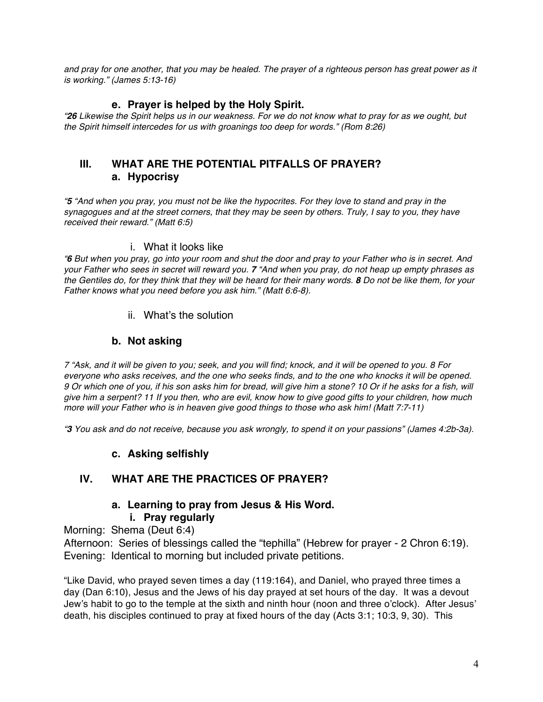*and pray for one another, that you may be healed. The prayer of a righteous person has great power as it is working." (James 5:13-16)*

#### **e. Prayer is helped by the Holy Spirit.**

*"26 Likewise the Spirit helps us in our weakness. For we do not know what to pray for as we ought, but the Spirit himself intercedes for us with groanings too deep for words." (Rom 8:26)*

# **III. WHAT ARE THE POTENTIAL PITFALLS OF PRAYER? a. Hypocrisy**

*"5 "And when you pray, you must not be like the hypocrites. For they love to stand and pray in the synagogues and at the street corners, that they may be seen by others. Truly, I say to you, they have received their reward." (Matt 6:5)*

#### i. What it looks like

*"6 But when you pray, go into your room and shut the door and pray to your Father who is in secret. And your Father who sees in secret will reward you. 7 "And when you pray, do not heap up empty phrases as the Gentiles do, for they think that they will be heard for their many words. 8 Do not be like them, for your Father knows what you need before you ask him." (Matt 6:6-8).*

ii. What's the solution

#### **b. Not asking**

*7 "Ask, and it will be given to you; seek, and you will find; knock, and it will be opened to you. 8 For everyone who asks receives, and the one who seeks finds, and to the one who knocks it will be opened. 9 Or which one of you, if his son asks him for bread, will give him a stone? 10 Or if he asks for a fish, will give him a serpent? 11 If you then, who are evil, know how to give good gifts to your children, how much more will your Father who is in heaven give good things to those who ask him! (Matt 7:7-11)*

*"3 You ask and do not receive, because you ask wrongly, to spend it on your passions" (James 4:2b-3a).*

#### **c. Asking selfishly**

# **IV. WHAT ARE THE PRACTICES OF PRAYER?**

# **a. Learning to pray from Jesus & His Word.**

#### **i. Pray regularly**

Morning: Shema (Deut 6:4)

Afternoon: Series of blessings called the "tephilla" (Hebrew for prayer - 2 Chron 6:19). Evening: Identical to morning but included private petitions.

"Like David, who prayed seven times a day (119:164), and Daniel, who prayed three times a day (Dan 6:10), Jesus and the Jews of his day prayed at set hours of the day. It was a devout Jew's habit to go to the temple at the sixth and ninth hour (noon and three o'clock). After Jesus' death, his disciples continued to pray at fixed hours of the day (Acts 3:1; 10:3, 9, 30). This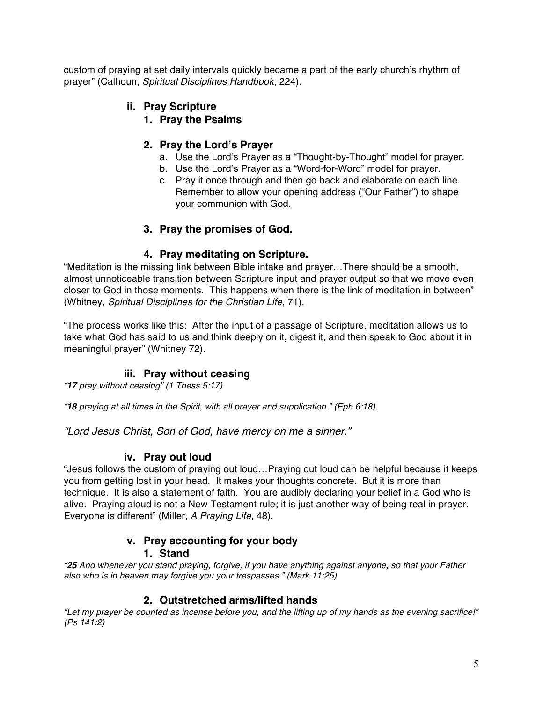custom of praying at set daily intervals quickly became a part of the early church's rhythm of prayer" (Calhoun, *Spiritual Disciplines Handbook*, 224).

#### **ii. Pray Scripture**

**1. Pray the Psalms**

# **2. Pray the Lord's Prayer**

- a. Use the Lord's Prayer as a "Thought-by-Thought" model for prayer.
- b. Use the Lord's Prayer as a "Word-for-Word" model for prayer.
- c. Pray it once through and then go back and elaborate on each line. Remember to allow your opening address ("Our Father") to shape your communion with God.

# **3. Pray the promises of God.**

# **4. Pray meditating on Scripture.**

"Meditation is the missing link between Bible intake and prayer…There should be a smooth, almost unnoticeable transition between Scripture input and prayer output so that we move even closer to God in those moments. This happens when there is the link of meditation in between" (Whitney, *Spiritual Disciplines for the Christian Life*, 71).

"The process works like this: After the input of a passage of Scripture, meditation allows us to take what God has said to us and think deeply on it, digest it, and then speak to God about it in meaningful prayer" (Whitney 72).

# **iii. Pray without ceasing**

*"17 pray without ceasing" (1 Thess 5:17)*

*"18 praying at all times in the Spirit, with all prayer and supplication." (Eph 6:18).*

*"Lord Jesus Christ, Son of God, have mercy on me a sinner."*

# **iv. Pray out loud**

"Jesus follows the custom of praying out loud…Praying out loud can be helpful because it keeps you from getting lost in your head. It makes your thoughts concrete. But it is more than technique. It is also a statement of faith. You are audibly declaring your belief in a God who is alive. Praying aloud is not a New Testament rule; it is just another way of being real in prayer. Everyone is different" (Miller, *A Praying Life*, 48).

# **v. Pray accounting for your body**

# **1. Stand**

*"25 And whenever you stand praying, forgive, if you have anything against anyone, so that your Father also who is in heaven may forgive you your trespasses." (Mark 11:25)*

#### **2. Outstretched arms/lifted hands**

*"Let my prayer be counted as incense before you, and the lifting up of my hands as the evening sacrifice!" (Ps 141:2)*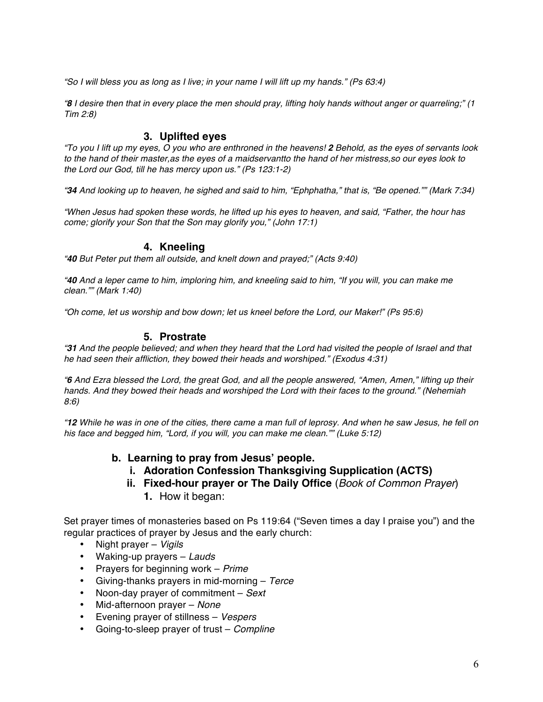*"So I will bless you as long as I live; in your name I will lift up my hands." (Ps 63:4)*

*"8 I desire then that in every place the men should pray, lifting holy hands without anger or quarreling;" (1 Tim 2:8)*

#### **3. Uplifted eyes**

*"To you I lift up my eyes, O you who are enthroned in the heavens! 2 Behold, as the eyes of servants look to the hand of their master,as the eyes of a maidservantto the hand of her mistress,so our eyes look to the Lord our God, till he has mercy upon us." (Ps 123:1-2)*

*"34 And looking up to heaven, he sighed and said to him, "Ephphatha," that is, "Be opened."" (Mark 7:34)*

*"When Jesus had spoken these words, he lifted up his eyes to heaven, and said, "Father, the hour has come; glorify your Son that the Son may glorify you," (John 17:1)*

#### **4. Kneeling**

*"40 But Peter put them all outside, and knelt down and prayed;" (Acts 9:40)*

*"40 And a leper came to him, imploring him, and kneeling said to him, "If you will, you can make me clean."" (Mark 1:40)*

*"Oh come, let us worship and bow down; let us kneel before the Lord, our Maker!" (Ps 95:6)*

#### **5. Prostrate**

*"31 And the people believed; and when they heard that the Lord had visited the people of Israel and that he had seen their affliction, they bowed their heads and worshiped." (Exodus 4:31)*

*"6 And Ezra blessed the Lord, the great God, and all the people answered, "Amen, Amen," lifting up their hands. And they bowed their heads and worshiped the Lord with their faces to the ground." (Nehemiah 8:6)*

*"12 While he was in one of the cities, there came a man full of leprosy. And when he saw Jesus, he fell on his face and begged him, "Lord, if you will, you can make me clean."" (Luke 5:12)*

#### **b. Learning to pray from Jesus' people.**

- **i. Adoration Confession Thanksgiving Supplication (ACTS)**
- **ii. Fixed-hour prayer or The Daily Office** (*Book of Common Prayer*) **1.** How it began:

Set prayer times of monasteries based on Ps 119:64 ("Seven times a day I praise you") and the regular practices of prayer by Jesus and the early church:

- Night prayer *Vigils*
- Waking-up prayers *Lauds*
- Prayers for beginning work *Prime*
- Giving-thanks prayers in mid-morning *Terce*
- Noon-day prayer of commitment *Sext*
- Mid-afternoon prayer *None*
- Evening prayer of stillness *Vespers*
- Going-to-sleep prayer of trust *Compline*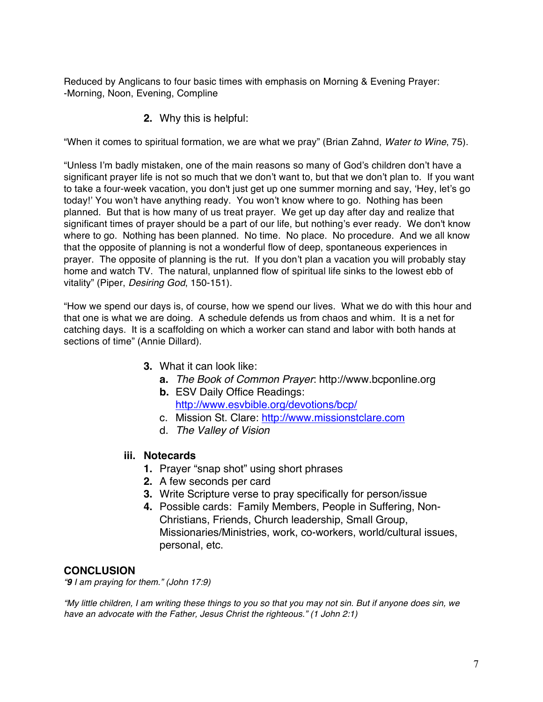Reduced by Anglicans to four basic times with emphasis on Morning & Evening Prayer: -Morning, Noon, Evening, Compline

**2.** Why this is helpful:

"When it comes to spiritual formation, we are what we pray" (Brian Zahnd, *Water to Wine*, 75).

"Unless I'm badly mistaken, one of the main reasons so many of God's children don't have a significant prayer life is not so much that we don't want to, but that we don't plan to. If you want to take a four-week vacation, you don't just get up one summer morning and say, 'Hey, let's go today!' You won't have anything ready. You won't know where to go. Nothing has been planned. But that is how many of us treat prayer. We get up day after day and realize that significant times of prayer should be a part of our life, but nothing's ever ready. We don't know where to go. Nothing has been planned. No time. No place. No procedure. And we all know that the opposite of planning is not a wonderful flow of deep, spontaneous experiences in prayer. The opposite of planning is the rut. If you don't plan a vacation you will probably stay home and watch TV. The natural, unplanned flow of spiritual life sinks to the lowest ebb of vitality" (Piper, *Desiring God*, 150-151).

"How we spend our days is, of course, how we spend our lives. What we do with this hour and that one is what we are doing. A schedule defends us from chaos and whim. It is a net for catching days. It is a scaffolding on which a worker can stand and labor with both hands at sections of time" (Annie Dillard).

- **3.** What it can look like:
	- **a.** *The Book of Common Prayer*: http://www.bcponline.org
	- **b.** ESV Daily Office Readings: http://www.esvbible.org/devotions/bcp/
	- c. Mission St. Clare: http://www.missionstclare.com
	- d. *The Valley of Vision*
- **iii. Notecards**
	- **1.** Prayer "snap shot" using short phrases
	- **2.** A few seconds per card
	- **3.** Write Scripture verse to pray specifically for person/issue
	- **4.** Possible cards: Family Members, People in Suffering, Non-Christians, Friends, Church leadership, Small Group, Missionaries/Ministries, work, co-workers, world/cultural issues, personal, etc.

#### **CONCLUSION**

*"9 I am praying for them." (John 17:9)*

*"My little children, I am writing these things to you so that you may not sin. But if anyone does sin, we have an advocate with the Father, Jesus Christ the righteous." (1 John 2:1)*